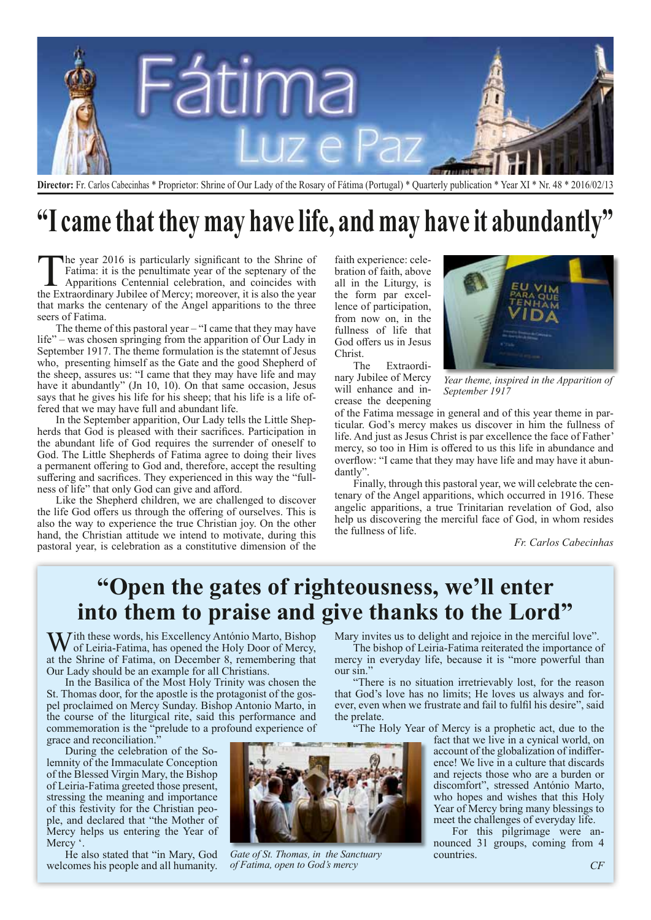

**Director:** Fr. Carlos Cabecinhas \* Proprietor: Shrine of Our Lady of the Rosary of Fátima (Portugal) \* Quarterly publication \* Year XI \* Nr. 48 \* 2016/02/13

# **"I came that they may have life, and may have it abundantly"**

The year 2016 is particularly significant to the Shrine of Fatima: it is the penultimate year of the septenary of the Apparitions Centennial celebration, and coincides with the Extraordinary Jubilee of Mercy; moreover, it is also the year that marks the centenary of the Angel apparitions to the three seers of Fatima.

The theme of this pastoral year – "I came that they may have life" – was chosen springing from the apparition of Our Lady in September 1917. The theme formulation is the statemnt of Jesus who, presenting himself as the Gate and the good Shepherd of the sheep, assures us: "I came that they may have life and may have it abundantly" (Jn 10, 10). On that same occasion, Jesus says that he gives his life for his sheep; that his life is a life offered that we may have full and abundant life.

In the September apparition, Our Lady tells the Little Shepherds that God is pleased with their sacrifices. Participation in the abundant life of God requires the surrender of oneself to God. The Little Shepherds of Fatima agree to doing their lives a permanent offering to God and, therefore, accept the resulting suffering and sacrifices. They experienced in this way the "fullness of life" that only God can give and afford.

Like the Shepherd children, we are challenged to discover the life God offers us through the offering of ourselves. This is also the way to experience the true Christian joy. On the other hand, the Christian attitude we intend to motivate, during this pastoral year, is celebration as a constitutive dimension of the

faith experience: celebration of faith, above all in the Liturgy, is the form par excellence of participation, from now on, in the fullness of life that God offers us in Jesus Christ.

The Extraordinary Jubilee of Mercy will enhance and increase the deepening



*Year theme, inspired in the Apparition of September 1917*

of the Fatima message in general and of this year theme in particular. God's mercy makes us discover in him the fullness of life. And just as Jesus Christ is par excellence the face of Father' mercy, so too in Him is offered to us this life in abundance and overflow: "I came that they may have life and may have it abundantly".

Finally, through this pastoral year, we will celebrate the centenary of the Angel apparitions, which occurred in 1916. These angelic apparitions, a true Trinitarian revelation of God, also help us discovering the merciful face of God, in whom resides the fullness of life.

*Fr. Carlos Cabecinhas*

#### **"Open the gates of righteousness, we'll enter into them to praise and give thanks to the Lord"**

With these words, his Excellency António Marto, Bishop of Leiria-Fatima, has opened the Holy Door of Mercy, at the Shrine of Fatima, on December 8, remembering that Our Lady should be an example for all Christians.

In the Basilica of the Most Holy Trinity was chosen the St. Thomas door, for the apostle is the protagonist of the gospel proclaimed on Mercy Sunday. Bishop Antonio Marto, in the course of the liturgical rite, said this performance and commemoration is the "prelude to a profound experience of grace and reconciliation."

During the celebration of the Solemnity of the Immaculate Conception of the Blessed Virgin Mary, the Bishop of Leiria-Fatima greeted those present, stressing the meaning and importance of this festivity for the Christian people, and declared that "the Mother of Mercy helps us entering the Year of Mercy  $\degree$ 

He also stated that "in Mary, God welcomes his people and all humanity. Mary invites us to delight and rejoice in the merciful love".

The bishop of Leiria-Fatima reiterated the importance of mercy in everyday life, because it is "more powerful than our sin."

"There is no situation irretrievably lost, for the reason that God's love has no limits; He loves us always and forever, even when we frustrate and fail to fulfil his desire", said the prelate.

"The Holy Year of Mercy is a prophetic act, due to the

fact that we live in a cynical world, on account of the globalization of indifference! We live in a culture that discards and rejects those who are a burden or discomfort", stressed António Marto, who hopes and wishes that this Holy Year of Mercy bring many blessings to meet the challenges of everyday life.

For this pilgrimage were announced 31 groups, coming from 4 countries.



*of Fatima, open to God's mercy*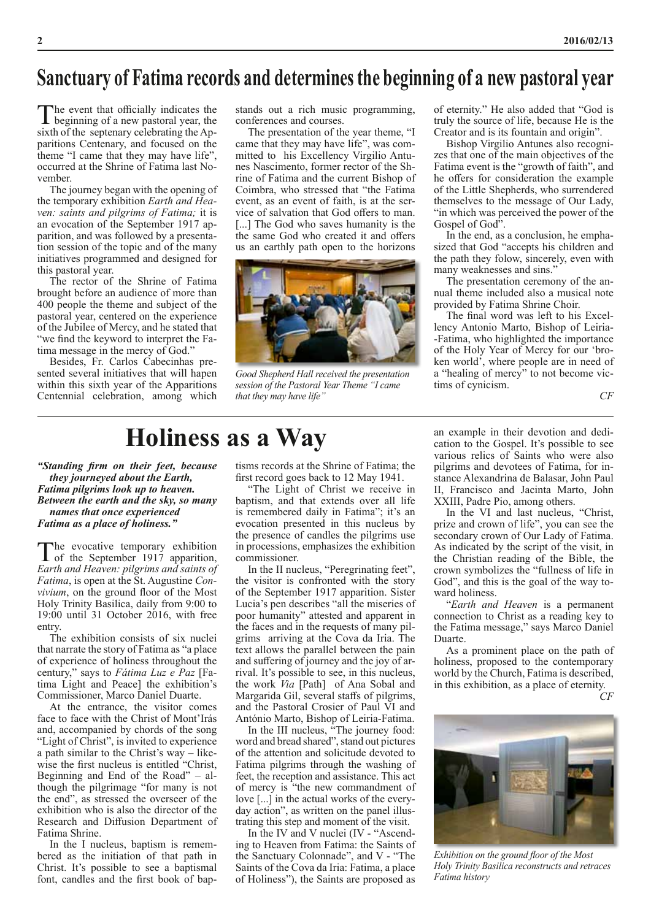#### **Sanctuary of Fatima records and determines the beginning of a new pastoral year**

The event that officially indicates the beginning of a new pastoral year, the sixth of the septenary celebrating the Apparitions Centenary, and focused on the theme "I came that they may have life", occurred at the Shrine of Fatima last November.

The journey began with the opening of the temporary exhibition *Earth and Heaven: saints and pilgrims of Fatima;* it is an evocation of the September 1917 apparition, and was followed by a presentation session of the topic and of the many initiatives programmed and designed for this pastoral year.

The rector of the Shrine of Fatima brought before an audience of more than 400 people the theme and subject of the pastoral year, centered on the experience of the Jubilee of Mercy, and he stated that "we find the keyword to interpret the Fatima message in the mercy of God."

Besides, Fr. Carlos Cabecinhas presented several initiatives that will hapen within this sixth year of the Apparitions Centennial celebration, among which stands out a rich music programming, conferences and courses.

The presentation of the year theme, "I came that they may have life", was committed to his Excellency Virgilio Antunes Nascimento, former rector of the Shrine of Fatima and the current Bishop of Coimbra, who stressed that "the Fatima event, as an event of faith, is at the service of salvation that God offers to man. [...] The God who saves humanity is the the same God who created it and offers us an earthly path open to the horizons



*Good Shepherd Hall received the presentation session of the Pastoral Year Theme "I came that they may have life"*

of eternity." He also added that "God is truly the source of life, because He is the Creator and is its fountain and origin".

Bishop Virgilio Antunes also recognizes that one of the main objectives of the Fatima event is the "growth of faith", and he offers for consideration the example of the Little Shepherds, who surrendered themselves to the message of Our Lady, "in which was perceived the power of the Gospel of God".

In the end, as a conclusion, he emphasized that God "accepts his children and the path they folow, sincerely, even with many weaknesses and sins."

The presentation ceremony of the annual theme included also a musical note provided by Fatima Shrine Choir.

The final word was left to his Excellency Antonio Marto, Bishop of Leiria- -Fatima, who highlighted the importance of the Holy Year of Mercy for our 'broken world', where people are in need of a "healing of mercy" to not become victims of cynicism.

*CF*

# **Holiness as a Way**

*"Standing firm on their feet, because they journeyed about the Earth, Fatima pilgrims look up to heaven. Between the earth and the sky, so many names that once experienced Fatima as a place of holiness."* 

The evocative temporary exhibition<br>
of the September 1917 apparition, *Earth and Heaven: pilgrims and saints of Fatima*, is open at the St. Augustine *Convivium*, on the ground floor of the Most Holy Trinity Basilica, daily from 9:00 to 19:00 until 31 October 2016, with free entry.

The exhibition consists of six nuclei that narrate the story of Fatima as "a place of experience of holiness throughout the century," says to *Fátima Luz e Paz* [Fatima Light and Peace] the exhibition's Commissioner, Marco Daniel Duarte.

At the entrance, the visitor comes face to face with the Christ of Mont'Irás and, accompanied by chords of the song "Light of Christ", is invited to experience a path similar to the Christ's way – likewise the first nucleus is entitled "Christ, Beginning and End of the Road" – although the pilgrimage "for many is not the end", as stressed the overseer of the exhibition who is also the director of the Research and Diffusion Department of Fatima Shrine.

In the I nucleus, baptism is remembered as the initiation of that path in Christ. It's possible to see a baptismal font, candles and the first book of bap-

tisms records at the Shrine of Fatima; the first record goes back to 12 May 1941.

"The Light of Christ we receive in baptism, and that extends over all life is remembered daily in Fatima"; it's an evocation presented in this nucleus by the presence of candles the pilgrims use in processions, emphasizes the exhibition commissioner.

In the II nucleus, "Peregrinating feet", the visitor is confronted with the story of the September 1917 apparition. Sister Lucia's pen describes "all the miseries of poor humanity" attested and apparent in the faces and in the requests of many pilgrims arriving at the Cova da Iria. The text allows the parallel between the pain and suffering of journey and the joy of arrival. It's possible to see, in this nucleus, the work *Via* [Path] of Ana Sobal and Margarida Gil, several staffs of pilgrims, and the Pastoral Crosier of Paul VI and António Marto, Bishop of Leiria-Fatima.

In the III nucleus, "The journey food: word and bread shared", stand out pictures of the attention and solicitude devoted to Fatima pilgrims through the washing of feet, the reception and assistance. This act of mercy is "the new commandment of love [...] in the actual works of the everyday action", as written on the panel illustrating this step and moment of the visit.

In the IV and V nuclei (IV - "Ascending to Heaven from Fatima: the Saints of the Sanctuary Colonnade", and V - "The Saints of the Cova da Iria: Fatima, a place of Holiness"), the Saints are proposed as

an example in their devotion and dedication to the Gospel. It's possible to see various relics of Saints who were also pilgrims and devotees of Fatima, for instance Alexandrina de Balasar, John Paul II, Francisco and Jacinta Marto, John XXIII, Padre Pio, among others.

In the VI and last nucleus, "Christ, prize and crown of life", you can see the secondary crown of Our Lady of Fatima. As indicated by the script of the visit, in the Christian reading of the Bible, the crown symbolizes the "fullness of life in God", and this is the goal of the way toward holiness.

"*Earth and Heaven* is a permanent connection to Christ as a reading key to the Fatima message," says Marco Daniel Duarte.

As a prominent place on the path of holiness, proposed to the contemporary world by the Church, Fatima is described, in this exhibition, as a place of eternity.

*CF*



*Exhibition on the ground floor of the Most Holy Trinity Basilica reconstructs and retraces Fatima history*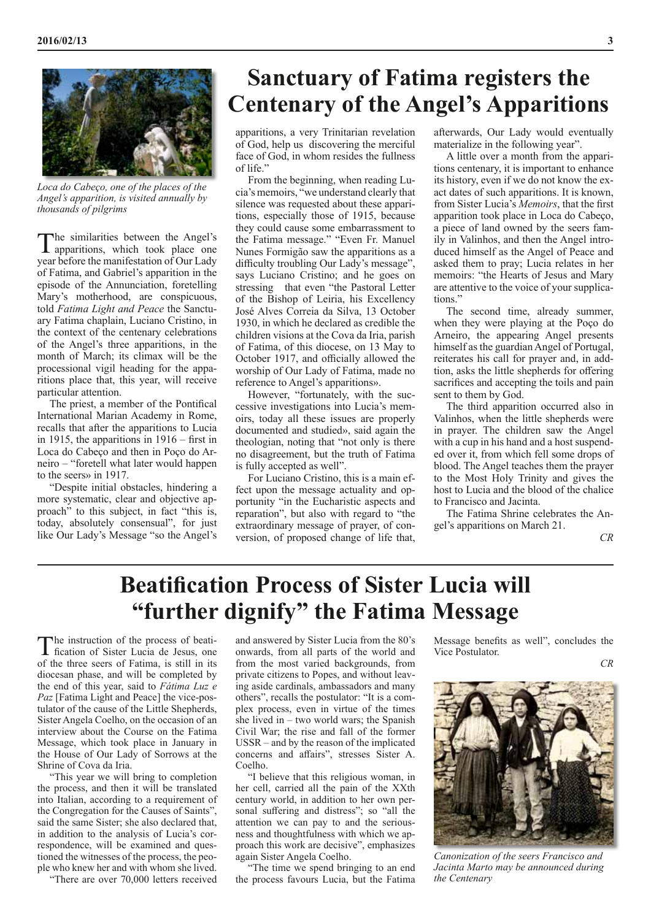

*Loca do Cabeço, one of the places of the Angel's apparition, is visited annually by thousands of pilgrims*

The similarities between the Angel's apparitions, which took place one year before the manifestation of Our Lady of Fatima, and Gabriel's apparition in the episode of the Annunciation, foretelling Mary's motherhood, are conspicuous, told *Fatima Light and Peace* the Sanctuary Fatima chaplain, Luciano Cristino, in the context of the centenary celebrations of the Angel's three apparitions, in the month of March; its climax will be the processional vigil heading for the apparitions place that, this year, will receive particular attention.

The priest, a member of the Pontifical International Marian Academy in Rome, recalls that after the apparitions to Lucia in 1915, the apparitions in 1916 – first in Loca do Cabeço and then in Poço do Arneiro – "foretell what later would happen to the seers» in 1917.

"Despite initial obstacles, hindering a more systematic, clear and objective approach" to this subject, in fact "this is, today, absolutely consensual", for just like Our Lady's Message "so the Angel's

### **Sanctuary of Fatima registers the Centenary of the Angel's Apparitions**

apparitions, a very Trinitarian revelation of God, help us discovering the merciful face of God, in whom resides the fullness of life."

From the beginning, when reading Lucia's memoirs, "we understand clearly that silence was requested about these apparitions, especially those of 1915, because they could cause some embarrassment to the Fatima message." "Even Fr. Manuel Nunes Formigão saw the apparitions as a difficulty troubling Our Lady's message", says Luciano Cristino; and he goes on stressing that even "the Pastoral Letter of the Bishop of Leiria, his Excellency José Alves Correia da Silva, 13 October 1930, in which he declared as credible the children visions at the Cova da Iria, parish of Fatima, of this diocese, on 13 May to October 1917, and officially allowed the worship of Our Lady of Fatima, made no reference to Angel's apparitions».

However, "fortunately, with the successive investigations into Lucia's memoirs, today all these issues are properly documented and studied», said again the theologian, noting that "not only is there no disagreement, but the truth of Fatima is fully accepted as well".

For Luciano Cristino, this is a main effect upon the message actuality and opportunity "in the Eucharistic aspects and reparation", but also with regard to "the extraordinary message of prayer, of conversion, of proposed change of life that, afterwards, Our Lady would eventually materialize in the following year".

A little over a month from the apparitions centenary, it is important to enhance its history, even if we do not know the exact dates of such apparitions. It is known, from Sister Lucia's *Memoirs*, that the first apparition took place in Loca do Cabeço, a piece of land owned by the seers family in Valinhos, and then the Angel introduced himself as the Angel of Peace and asked them to pray; Lucia relates in her memoirs: "the Hearts of Jesus and Mary are attentive to the voice of your supplications."

The second time, already summer, when they were playing at the Poço do Arneiro, the appearing Angel presents himself as the guardian Angel of Portugal, reiterates his call for prayer and, in addtion, asks the little shepherds for offering sacrifices and accepting the toils and pain sent to them by God.

The third apparition occurred also in Valinhos, when the little shepherds were in prayer. The children saw the Angel with a cup in his hand and a host suspended over it, from which fell some drops of blood. The Angel teaches them the prayer to the Most Holy Trinity and gives the host to Lucia and the blood of the chalice to Francisco and Jacinta.

The Fatima Shrine celebrates the Angel's apparitions on March 21.

*CR*

## **Beatification Process of Sister Lucia will "further dignify" the Fatima Message**

The instruction of the process of beati-<br>fication of Sister Lucia de Jesus, one of the three seers of Fatima, is still in its diocesan phase, and will be completed by the end of this year, said to *Fátima Luz e Paz* [Fatima Light and Peace] the vice-postulator of the cause of the Little Shepherds, Sister Angela Coelho, on the occasion of an interview about the Course on the Fatima Message, which took place in January in the House of Our Lady of Sorrows at the Shrine of Cova da Iria.

"This year we will bring to completion the process, and then it will be translated into Italian, according to a requirement of the Congregation for the Causes of Saints", said the same Sister; she also declared that, in addition to the analysis of Lucia's correspondence, will be examined and questioned the witnesses of the process, the people who knew her and with whom she lived.

"There are over 70,000 letters received

and answered by Sister Lucia from the 80's onwards, from all parts of the world and from the most varied backgrounds, from private citizens to Popes, and without leaving aside cardinals, ambassadors and many others", recalls the postulator: "It is a complex process, even in virtue of the times she lived in – two world wars; the Spanish Civil War; the rise and fall of the former USSR – and by the reason of the implicated concerns and affairs", stresses Sister A. Coelho.

"I believe that this religious woman, in her cell, carried all the pain of the XXth century world, in addition to her own personal suffering and distress"; so "all the attention we can pay to and the seriousness and thoughtfulness with which we approach this work are decisive", emphasizes again Sister Angela Coelho.

"The time we spend bringing to an end the process favours Lucia, but the Fatima Message benefits as well", concludes the Vice Postulator.





*Canonization of the seers Francisco and Jacinta Marto may be announced during the Centenary*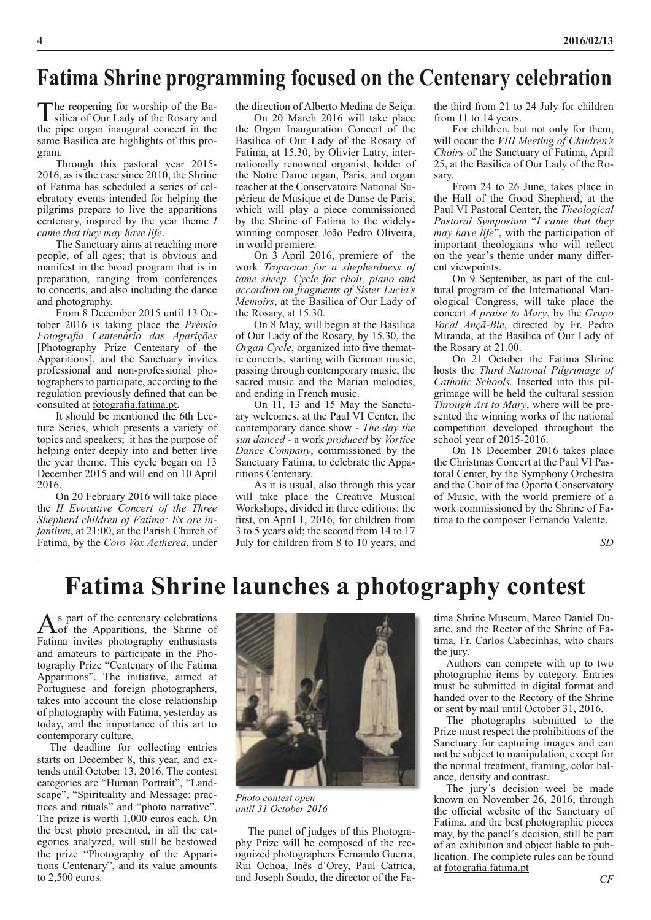#### **Fatima Shrine programming focused on the Centenary celebration**

The reopening for worship of the Ba-<br>silica of Our Lady of the Rosary and the pipe organ inaugural concert in the same Basilica are highlights of this program.

Through this pastoral year 2015- 2016, as is the case since 2010, the Shrine of Fatima has scheduled a series of celebratory events intended for helping the pilgrims prepare to live the apparitions centenary, inspired by the year theme *I came that they may have life*.

The Sanctuary aims at reaching more people, of all ages; that is obvious and manifest in the broad program that is in preparation, ranging from conferences to concerts, and also including the dance and photography.

From 8 December 2015 until 13 October 2016 is taking place the *Prémio Fotografia Centenário das Aparições* [Photography Prize Centenary of the Apparitions], and the Sanctuary invites professional and non-professional photographers to participate, according to the regulation previously defined that can be consulted at fotografia.fatima.pt.

It should be mentioned the 6th Lecture Series, which presents a variety of topics and speakers; it has the purpose of helping enter deeply into and better live the year theme. This cycle began on 13 December 2015 and will end on 10 April 2016.

On 20 February 2016 will take place the *II Evocative Concert of the Three Shepherd children of Fatima: Ex ore infantium*, at 21:00, at the Parish Church of Fatima, by the *Coro Vox Aetherea*, under

the direction of Alberto Medina de Seiça.

On 20 March 2016 will take place the Organ Inauguration Concert of the Basilica of Our Lady of the Rosary of Fatima, at 15.30, by Olivier Latry, internationally renowned organist, holder of the Notre Dame organ, Paris, and organ teacher at the Conservatoire National Supérieur de Musique et de Danse de Paris, which will play a piece commissioned by the Shrine of Fatima to the widelywinning composer João Pedro Oliveira, in world premiere.

On 3 April 2016, premiere of the work *Troparion for a shepherdness of tame sheep. Cycle for choir, piano and accordion on fragments of Sister Lucia's Memoirs*, at the Basilica of Our Lady of the Rosary, at 15.30.

On 8 May, will begin at the Basilica of Our Lady of the Rosary, by 15.30, the *Organ Cycle*, organized into five thematic concerts, starting with German music, passing through contemporary music, the sacred music and the Marian melodies, and ending in French music.

On 11, 13 and 15 May the Sanctuary welcomes, at the Paul VI Center, the contemporary dance show - *The day the sun danced* - a work *produced* by *Vortice Dance Company*, commissioned by the Sanctuary Fatima, to celebrate the Apparitions Centenary.

As it is usual, also through this year will take place the Creative Musical Workshops, divided in three editions: the first, on April 1, 2016, for children from 3 to 5 years old; the second from 14 to 17 July for children from 8 to 10 years, and the third from 21 to 24 July for children from 11 to 14 years.

For children, but not only for them, will occur the *VIII Meeting of Children's Choirs* of the Sanctuary of Fatima, April 25, at the Basilica of Our Lady of the Rosary.

From 24 to 26 June, takes place in the Hall of the Good Shepherd, at the Paul VI Pastoral Center, the *Theological Pastoral Symposium* "*I came that they may have life*", with the participation of important theologians who will reflect on the year's theme under many different viewpoints.

On 9 September, as part of the cultural program of the International Mariological Congress, will take place the concert *A praise to Mary*, by the *Grupo Vocal Ançã-Ble*, directed by Fr. Pedro Miranda, at the Basilica of Our Lady of the Rosary at 21.00.

On 21 October the Fatima Shrine hosts the *Third National Pilgrimage of Catholic Schools.* Inserted into this pilgrimage will be held the cultural session *Through Art to Mary*, where will be presented the winning works of the national competition developed throughout the school year of 2015-2016.

On 18 December 2016 takes place the Christmas Concert at the Paul VI Pastoral Center, by the Symphony Orchestra and the Choir of the Oporto Conservatory of Music, with the world premiere of a work commissioned by the Shrine of Fatima to the composer Fernando Valente.

*SD*

## **Fatima Shrine launches a photography contest**

As part of the centenary celebrations<br>  $\sum_{n=1}^{\infty}$  of the Apparitions, the Shrine of Fatima invites photography enthusiasts and amateurs to participate in the Photography Prize "Centenary of the Fatima Apparitions". The initiative, aimed at Portuguese and foreign photographers, takes into account the close relationship of photography with Fatima, yesterday as today, and the importance of this art to contemporary culture.

The deadline for collecting entries starts on December 8, this year, and extends until October 13, 2016. The contest categories are "Human Portrait", "Landscape", "Spirituality and Message: practices and rituals" and "photo narrative". The prize is worth 1,000 euros each. On the best photo presented, in all the categories analyzed, will still be bestowed the prize "Photography of the Apparitions Centenary", and its value amounts to 2,500 euros.



*Photo contest open until 31 October 2016*

The panel of judges of this Photography Prize will be composed of the recognized photographers Fernando Guerra, Rui Ochoa, Inês d´Orey, Paul Catrica, and Joseph Soudo, the director of the Fatima Shrine Museum, Marco Daniel Duarte, and the Rector of the Shrine of Fatima, Fr. Carlos Cabecinhas, who chairs the jury.

Authors can compete with up to two photographic items by category. Entries must be submitted in digital format and handed over to the Rectory of the Shrine or sent by mail until October 31, 2016.

The photographs submitted to the Prize must respect the prohibitions of the Sanctuary for capturing images and can not be subject to manipulation, except for the normal treatment, framing, color balance, density and contrast.

The jury´s decision weel be made known on November 26, 2016, through the official website of the Sanctuary of Fatima, and the best photographic pieces may, by the panel´s decision, still be part of an exhibition and object liable to publication. The complete rules can be found at fotografia.fatima.pt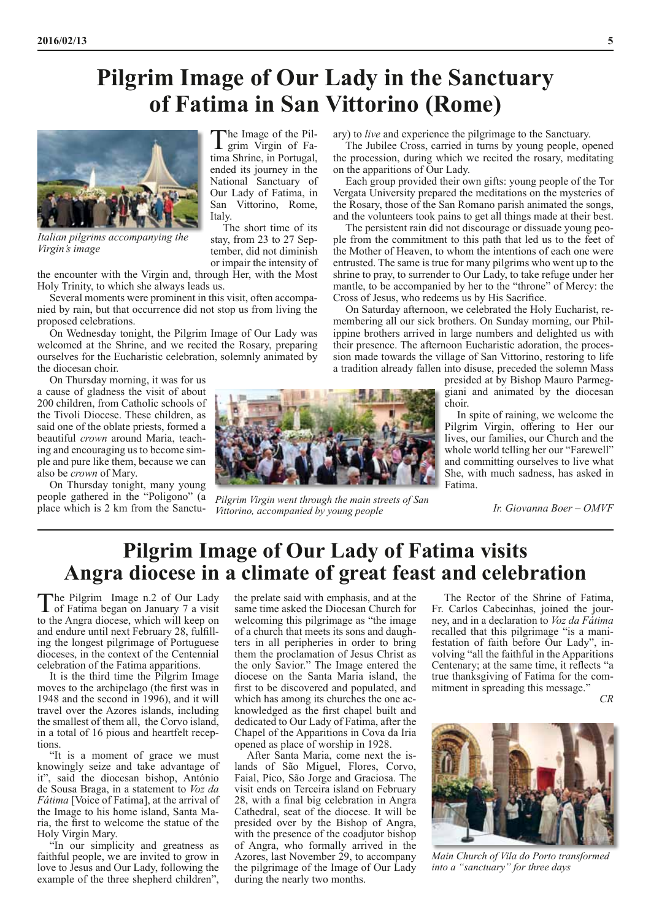### **Pilgrim Image of Our Lady in the Sanctuary of Fatima in San Vittorino (Rome)**



*Italian pilgrims accompanying the Virgin's image*

the encounter with the Virgin and, through Her, with the Most Holy Trinity, to which she always leads us.

Several moments were prominent in this visit, often accompanied by rain, but that occurrence did not stop us from living the proposed celebrations.

On Wednesday tonight, the Pilgrim Image of Our Lady was welcomed at the Shrine, and we recited the Rosary, preparing ourselves for the Eucharistic celebration, solemnly animated by the diocesan choir.

On Thursday morning, it was for us a cause of gladness the visit of about 200 children, from Catholic schools of the Tivoli Diocese. These children, as said one of the oblate priests, formed a beautiful *crown* around Maria, teaching and encouraging us to become simple and pure like them, because we can also be *crown* of Mary.

On Thursday tonight, many young people gathered in the "Poligono" (a place which is 2 km from the Sanctu-

The Image of the Pil-<br>grim Virgin of Fatima Shrine, in Portugal, ended its journey in the National Sanctuary of Our Lady of Fatima, in San Vittorino, Rome, Italy.

The short time of its stay, from 23 to 27 September, did not diminish or impair the intensity of ary) to *live* and experience the pilgrimage to the Sanctuary.

The Jubilee Cross, carried in turns by young people, opened the procession, during which we recited the rosary, meditating on the apparitions of Our Lady.

Each group provided their own gifts: young people of the Tor Vergata University prepared the meditations on the mysteries of the Rosary, those of the San Romano parish animated the songs, and the volunteers took pains to get all things made at their best.

The persistent rain did not discourage or dissuade young people from the commitment to this path that led us to the feet of the Mother of Heaven, to whom the intentions of each one were entrusted. The same is true for many pilgrims who went up to the shrine to pray, to surrender to Our Lady, to take refuge under her mantle, to be accompanied by her to the "throne" of Mercy: the Cross of Jesus, who redeems us by His Sacrifice.

On Saturday afternoon, we celebrated the Holy Eucharist, remembering all our sick brothers. On Sunday morning, our Philippine brothers arrived in large numbers and delighted us with their presence. The afternoon Eucharistic adoration, the procession made towards the village of San Vittorino, restoring to life a tradition already fallen into disuse, preceded the solemn Mass

presided at by Bishop Mauro Parmeggiani and animated by the diocesan choir.

In spite of raining, we welcome the Pilgrim Virgin, offering to Her our lives, our families, our Church and the whole world telling her our "Farewell" and committing ourselves to live what She, with much sadness, has asked in Fatima.

*Ir. Giovanna Boer – OMVF*

#### **Pilgrim Image of Our Lady of Fatima visits Angra diocese in a climate of great feast and celebration**

*Pilgrim Virgin went through the main streets of San* 

*Vittorino, accompanied by young people*

The Pilgrim Image n.2 of Our Lady<br>
of Fatima began on January 7 a visit to the Angra diocese, which will keep on and endure until next February 28, fulfilling the longest pilgrimage of Portuguese dioceses, in the context of the Centennial celebration of the Fatima apparitions.

It is the third time the Pilgrim Image moves to the archipelago (the first was in 1948 and the second in 1996), and it will travel over the Azores islands, including the smallest of them all, the Corvo island, in a total of 16 pious and heartfelt receptions.

"It is a moment of grace we must knowingly seize and take advantage of it", said the diocesan bishop, António de Sousa Braga, in a statement to *Voz da Fátima* [Voice of Fatima], at the arrival of the Image to his home island, Santa Maria, the first to welcome the statue of the Holy Virgin Mary.

"In our simplicity and greatness as faithful people, we are invited to grow in love to Jesus and Our Lady, following the example of the three shepherd children", the prelate said with emphasis, and at the same time asked the Diocesan Church for welcoming this pilgrimage as "the image of a church that meets its sons and daughters in all peripheries in order to bring them the proclamation of Jesus Christ as the only Savior." The Image entered the diocese on the Santa Maria island, the first to be discovered and populated, and which has among its churches the one acknowledged as the first chapel built and dedicated to Our Lady of Fatima, after the Chapel of the Apparitions in Cova da Iria opened as place of worship in 1928.

After Santa Maria, come next the islands of São Miguel, Flores, Corvo, Faial, Pico, São Jorge and Graciosa. The visit ends on Terceira island on February 28, with a final big celebration in Angra Cathedral, seat of the diocese. It will be presided over by the Bishop of Angra, with the presence of the coadjutor bishop of Angra, who formally arrived in the Azores, last November 29, to accompany the pilgrimage of the Image of Our Lady during the nearly two months.

The Rector of the Shrine of Fatima, Fr. Carlos Cabecinhas, joined the journey, and in a declaration to *Voz da Fátima* recalled that this pilgrimage "is a manifestation of faith before Our Lady", involving "all the faithful in the Apparitions Centenary; at the same time, it reflects "a true thanksgiving of Fatima for the commitment in spreading this message."

*CR*



*Main Church of Vila do Porto transformed into a "sanctuary" for three days*

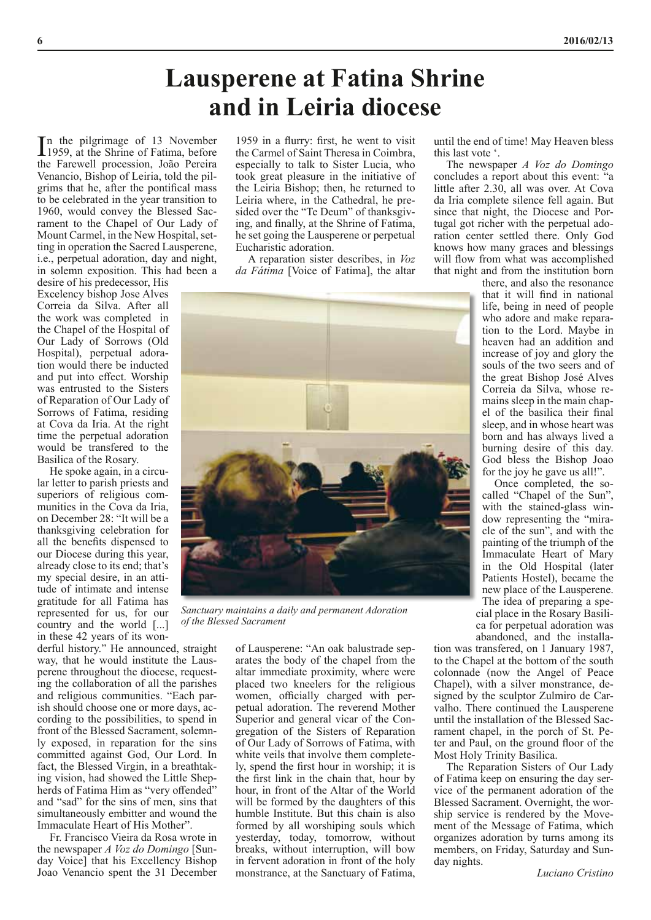## **Lausperene at Fatina Shrine and in Leiria diocese**

In the pilgrimage of 13 November<br>1959, at the Shrine of Fatima, before 1959, at the Shrine of Fatima, before the Farewell procession, João Pereira Venancio, Bishop of Leiria, told the pilgrims that he, after the pontifical mass to be celebrated in the year transition to 1960, would convey the Blessed Sacrament to the Chapel of Our Lady of Mount Carmel, in the New Hospital, setting in operation the Sacred Lausperene, i.e., perpetual adoration, day and night, in solemn exposition. This had been a

desire of his predecessor, His Excelency bishop Jose Alves Correia da Silva. After all the work was completed in the Chapel of the Hospital of Our Lady of Sorrows (Old Hospital), perpetual adoration would there be inducted and put into effect. Worship was entrusted to the Sisters of Reparation of Our Lady of Sorrows of Fatima, residing at Cova da Iria. At the right time the perpetual adoration would be transfered to the Basilica of the Rosary.

He spoke again, in a circular letter to parish priests and superiors of religious communities in the Cova da Iria, on December 28: "It will be a thanksgiving celebration for all the benefits dispensed to our Diocese during this year, already close to its end; that's my special desire, in an attitude of intimate and intense gratitude for all Fatima has represented for us, for our country and the world [...] in these 42 years of its won-

derful history." He announced, straight way, that he would institute the Lausperene throughout the diocese, requesting the collaboration of all the parishes and religious communities. "Each parish should choose one or more days, according to the possibilities, to spend in front of the Blessed Sacrament, solemnly exposed, in reparation for the sins committed against God, Our Lord. In fact, the Blessed Virgin, in a breathtaking vision, had showed the Little Shepherds of Fatima Him as "very offended" and "sad" for the sins of men, sins that simultaneously embitter and wound the Immaculate Heart of His Mother".

Fr. Francisco Vieira da Rosa wrote in the newspaper *A Voz do Domingo* [Sunday Voice] that his Excellency Bishop Joao Venancio spent the 31 December

1959 in a flurry: first, he went to visit the Carmel of Saint Theresa in Coimbra, especially to talk to Sister Lucia, who took great pleasure in the initiative of the Leiria Bishop; then, he returned to Leiria where, in the Cathedral, he presided over the "Te Deum" of thanksgiving, and finally, at the Shrine of Fatima, he set going the Lausperene or perpetual Eucharistic adoration.

A reparation sister describes, in *Voz da Fátima* [Voice of Fatima], the altar



*Sanctuary maintains a daily and permanent Adoration of the Blessed Sacrament*

of Lausperene: "An oak balustrade separates the body of the chapel from the altar immediate proximity, where were placed two kneelers for the religious women, officially charged with perpetual adoration. The reverend Mother Superior and general vicar of the Congregation of the Sisters of Reparation of Our Lady of Sorrows of Fatima, with white veils that involve them completely, spend the first hour in worship; it is the first link in the chain that, hour by hour, in front of the Altar of the World will be formed by the daughters of this humble Institute. But this chain is also formed by all worshiping souls which yesterday, today, tomorrow, without breaks, without interruption, will bow in fervent adoration in front of the holy monstrance, at the Sanctuary of Fatima,

until the end of time! May Heaven bless this last vote '.

The newspaper *A Voz do Domingo* concludes a report about this event: "a little after 2.30, all was over. At Cova da Iria complete silence fell again. But since that night, the Diocese and Portugal got richer with the perpetual adoration center settled there. Only God knows how many graces and blessings will flow from what was accomplished that night and from the institution born

there, and also the resonance that it will find in national life, being in need of people who adore and make reparation to the Lord. Maybe in heaven had an addition and increase of joy and glory the souls of the two seers and of the great Bishop José Alves Correia da Silva, whose remains sleep in the main chapel of the basilica their final sleep, and in whose heart was born and has always lived a burning desire of this day. God bless the Bishop Joao for the joy he gave us all!".

Once completed, the socalled "Chapel of the Sun", with the stained-glass window representing the "miracle of the sun", and with the painting of the triumph of the Immaculate Heart of Mary in the Old Hospital (later Patients Hostel), became the new place of the Lausperene.

The idea of preparing a special place in the Rosary Basilica for perpetual adoration was abandoned, and the installa-

tion was transfered, on 1 January 1987, to the Chapel at the bottom of the south colonnade (now the Angel of Peace Chapel), with a silver monstrance, designed by the sculptor Zulmiro de Carvalho. There continued the Lausperene until the installation of the Blessed Sacrament chapel, in the porch of St. Peter and Paul, on the ground floor of the Most Holy Trinity Basilica.

The Reparation Sisters of Our Lady of Fatima keep on ensuring the day service of the permanent adoration of the Blessed Sacrament. Overnight, the worship service is rendered by the Movement of the Message of Fatima, which organizes adoration by turns among its members, on Friday, Saturday and Sunday nights.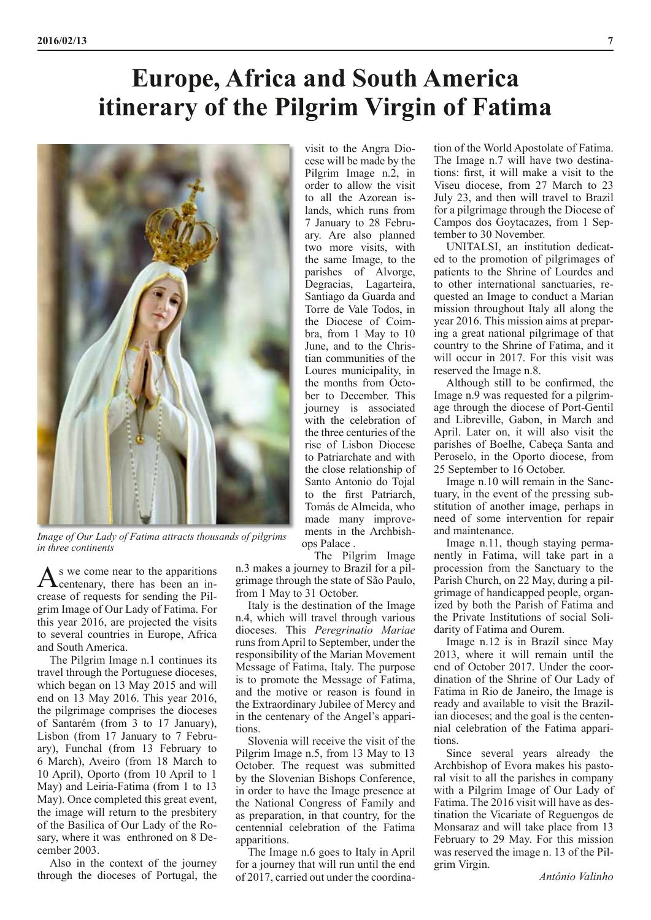# **Europe, Africa and South America itinerary of the Pilgrim Virgin of Fatima**



*Image of Our Lady of Fatima attracts thousands of pilgrims in three continents*

As we come near to the apparitions<br>
centenary, there has been an increase of requests for sending the Pilgrim Image of Our Lady of Fatima. For this year 2016, are projected the visits to several countries in Europe, Africa and South America.

The Pilgrim Image n.1 continues its travel through the Portuguese dioceses, which began on 13 May 2015 and will end on 13 May 2016. This year 2016, the pilgrimage comprises the dioceses of Santarém (from 3 to 17 January), Lisbon (from 17 January to 7 February), Funchal (from 13 February to 6 March), Aveiro (from 18 March to 10 April), Oporto (from 10 April to 1 May) and Leiria-Fatima (from 1 to 13 May). Once completed this great event, the image will return to the presbitery of the Basilica of Our Lady of the Rosary, where it was enthroned on 8 December 2003.

Also in the context of the journey through the dioceses of Portugal, the

visit to the Angra Diocese will be made by the Pilgrim Image n.2, in order to allow the visit to all the Azorean islands, which runs from 7 January to 28 February. Are also planned two more visits, with the same Image, to the parishes of Alvorge, Degracias, Lagarteira, Santiago da Guarda and Torre de Vale Todos, in the Diocese of Coimbra, from 1 May to 10 June, and to the Christian communities of the Loures municipality, in the months from October to December. This journey is associated with the celebration of the three centuries of the rise of Lisbon Diocese to Patriarchate and with the close relationship of Santo Antonio do Tojal to the first Patriarch, Tomás de Almeida, who made many improvements in the Archbishops Palace .

The Pilgrim Image

n.3 makes a journey to Brazil for a pilgrimage through the state of São Paulo, from 1 May to 31 October.

Italy is the destination of the Image n.4, which will travel through various dioceses. This *Peregrinatio Mariae* runs from April to September, under the responsibility of the Marian Movement Message of Fatima, Italy. The purpose is to promote the Message of Fatima, and the motive or reason is found in the Extraordinary Jubilee of Mercy and in the centenary of the Angel's apparitions.

Slovenia will receive the visit of the Pilgrim Image n.5, from 13 May to 13 October. The request was submitted by the Slovenian Bishops Conference, in order to have the Image presence at the National Congress of Family and as preparation, in that country, for the centennial celebration of the Fatima apparitions.

The Image n.6 goes to Italy in April for a journey that will run until the end of 2017, carried out under the coordination of the World Apostolate of Fatima. The Image n.7 will have two destinations: first, it will make a visit to the Viseu diocese, from 27 March to 23 July 23, and then will travel to Brazil for a pilgrimage through the Diocese of Campos dos Goytacazes, from 1 September to 30 November.

UNITALSI, an institution dedicated to the promotion of pilgrimages of patients to the Shrine of Lourdes and to other international sanctuaries, requested an Image to conduct a Marian mission throughout Italy all along the year 2016. This mission aims at preparing a great national pilgrimage of that country to the Shrine of Fatima, and it will occur in 2017. For this visit was reserved the Image n.8.

Although still to be confirmed, the Image n.9 was requested for a pilgrimage through the diocese of Port-Gentil and Libreville, Gabon, in March and April. Later on, it will also visit the parishes of Boelhe, Cabeça Santa and Peroselo, in the Oporto diocese, from 25 September to 16 October.

Image n.10 will remain in the Sanctuary, in the event of the pressing substitution of another image, perhaps in need of some intervention for repair and maintenance.

Image n.11, though staying permanently in Fatima, will take part in a procession from the Sanctuary to the Parish Church, on 22 May, during a pilgrimage of handicapped people, organized by both the Parish of Fatima and the Private Institutions of social Solidarity of Fatima and Ourem.

Image n.12 is in Brazil since May 2013, where it will remain until the end of October 2017. Under the coordination of the Shrine of Our Lady of Fatima in Rio de Janeiro, the Image is ready and available to visit the Brazilian dioceses; and the goal is the centennial celebration of the Fatima apparitions.

Since several years already the Archbishop of Evora makes his pastoral visit to all the parishes in company with a Pilgrim Image of Our Lady of Fatima. The 2016 visit will have as destination the Vicariate of Reguengos de Monsaraz and will take place from 13 February to 29 May. For this mission was reserved the image n. 13 of the Pilgrim Virgin.

*António Valinho*